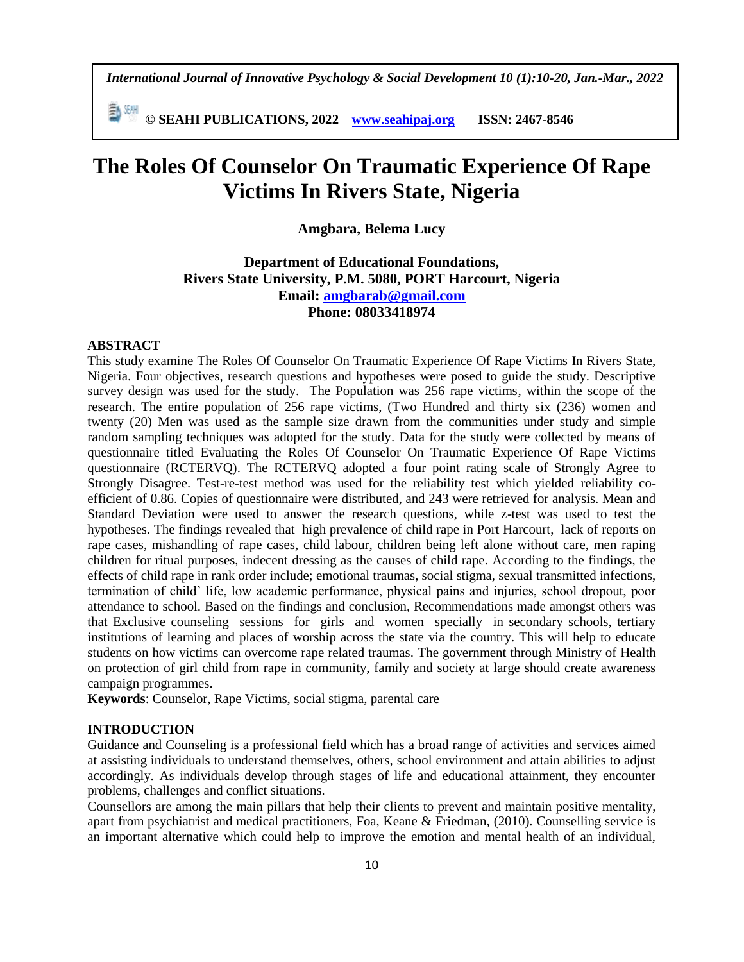*International Journal of Innovative Psychology & Social Development 10 (1):10-20, Jan.-Mar., 2022*

勤細 **© SEAHI PUBLICATIONS, 2022 [www.seahipaj.org](http://www.seahipaj.org/) ISSN: 2467-8546**

# **The Roles Of Counselor On Traumatic Experience Of Rape Victims In Rivers State, Nigeria**

# **Amgbara, Belema Lucy**

**Department of Educational Foundations, Rivers State University, P.M. 5080, PORT Harcourt, Nigeria Email: [amgbarab@gmail.com](mailto:amgbarab@gmail.com) Phone: 08033418974**

#### **ABSTRACT**

This study examine The Roles Of Counselor On Traumatic Experience Of Rape Victims In Rivers State, Nigeria. Four objectives, research questions and hypotheses were posed to guide the study. Descriptive survey design was used for the study. The Population was 256 rape victims, within the scope of the research. The entire population of 256 rape victims, (Two Hundred and thirty six (236) women and twenty (20) Men was used as the sample size drawn from the communities under study and simple random sampling techniques was adopted for the study. Data for the study were collected by means of questionnaire titled Evaluating the Roles Of Counselor On Traumatic Experience Of Rape Victims questionnaire (RCTERVQ). The RCTERVQ adopted a four point rating scale of Strongly Agree to Strongly Disagree. Test-re-test method was used for the reliability test which yielded reliability coefficient of 0.86. Copies of questionnaire were distributed, and 243 were retrieved for analysis. Mean and Standard Deviation were used to answer the research questions, while z-test was used to test the hypotheses. The findings revealed that high prevalence of child rape in Port Harcourt, lack of reports on rape cases, mishandling of rape cases, child labour, children being left alone without care, men raping children for ritual purposes, indecent dressing as the causes of child rape. According to the findings, the effects of child rape in rank order include; emotional traumas, social stigma, sexual transmitted infections, termination of child' life, low academic performance, physical pains and injuries, school dropout, poor attendance to school. Based on the findings and conclusion, Recommendations made amongst others was that Exclusive counseling sessions for girls and women specially in secondary schools, tertiary institutions of learning and places of worship across the state via the country. This will help to educate students on how victims can overcome rape related traumas. The government through Ministry of Health on protection of girl child from rape in community, family and society at large should create awareness campaign programmes.

**Keywords**: Counselor, Rape Victims, social stigma, parental care

## **INTRODUCTION**

Guidance and Counseling is a professional field which has a broad range of activities and services aimed at assisting individuals to understand themselves, others, school environment and attain abilities to adjust accordingly. As individuals develop through stages of life and educational attainment, they encounter problems, challenges and conflict situations.

Counsellors are among the main pillars that help their clients to prevent and maintain positive mentality, apart from psychiatrist and medical practitioners, Foa, Keane & Friedman, (2010). Counselling service is an important alternative which could help to improve the emotion and mental health of an individual,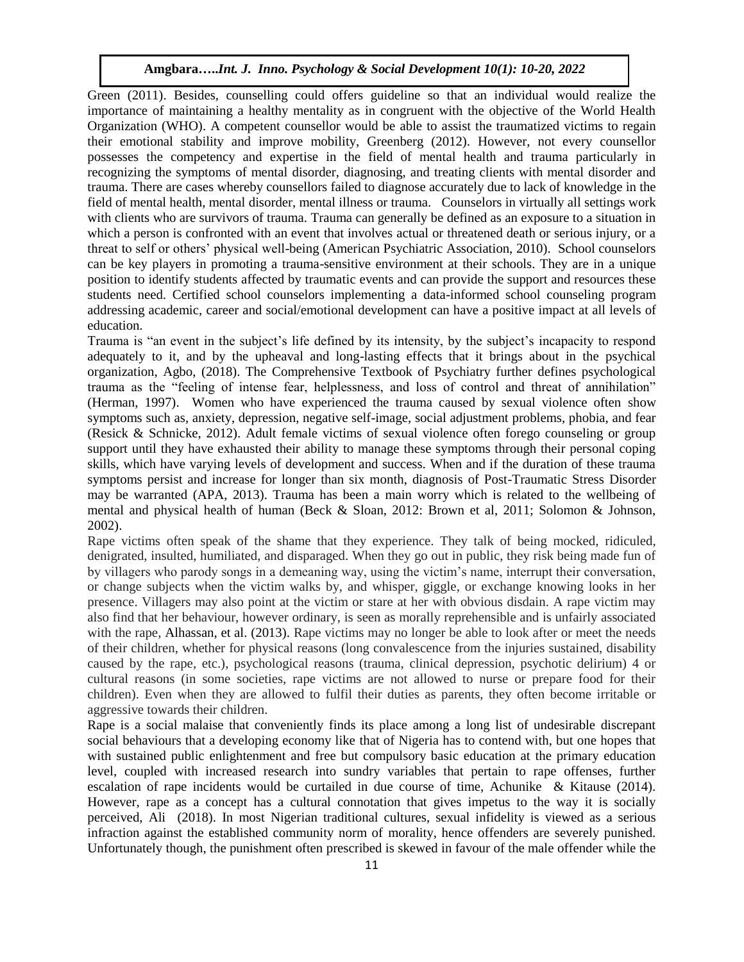Green (2011). Besides, counselling could offers guideline so that an individual would realize the importance of maintaining a healthy mentality as in congruent with the objective of the World Health Organization (WHO). A competent counsellor would be able to assist the traumatized victims to regain their emotional stability and improve mobility, Greenberg (2012). However, not every counsellor possesses the competency and expertise in the field of mental health and trauma particularly in recognizing the symptoms of mental disorder, diagnosing, and treating clients with mental disorder and trauma. There are cases whereby counsellors failed to diagnose accurately due to lack of knowledge in the field of mental health, mental disorder, mental illness or trauma. Counselors in virtually all settings work with clients who are survivors of trauma. Trauma can generally be defined as an exposure to a situation in which a person is confronted with an event that involves actual or threatened death or serious injury, or a threat to self or others' physical well-being (American Psychiatric Association, 2010). School counselors can be key players in promoting a trauma-sensitive environment at their schools. They are in a unique position to identify students affected by traumatic events and can provide the support and resources these students need. Certified school counselors implementing a data-informed school counseling program addressing academic, career and social/emotional development can have a positive impact at all levels of education.

Trauma is "an event in the subject's life defined by its intensity, by the subject's incapacity to respond adequately to it, and by the upheaval and long-lasting effects that it brings about in the psychical organization, Agbo, (2018). The Comprehensive Textbook of Psychiatry further defines psychological trauma as the "feeling of intense fear, helplessness, and loss of control and threat of annihilation" (Herman, 1997). Women who have experienced the trauma caused by sexual violence often show symptoms such as, anxiety, depression, negative self-image, social adjustment problems, phobia, and fear (Resick & Schnicke, 2012). Adult female victims of sexual violence often forego counseling or group support until they have exhausted their ability to manage these symptoms through their personal coping skills, which have varying levels of development and success. When and if the duration of these trauma symptoms persist and increase for longer than six month, diagnosis of Post-Traumatic Stress Disorder may be warranted (APA, 2013). Trauma has been a main worry which is related to the wellbeing of mental and physical health of human (Beck & Sloan, 2012: Brown et al, 2011; Solomon & Johnson, 2002).

Rape victims often speak of the shame that they experience. They talk of being mocked, ridiculed, denigrated, insulted, humiliated, and disparaged. When they go out in public, they risk being made fun of by villagers who parody songs in a demeaning way, using the victim's name, interrupt their conversation, or change subjects when the victim walks by, and whisper, giggle, or exchange knowing looks in her presence. Villagers may also point at the victim or stare at her with obvious disdain. A rape victim may also find that her behaviour, however ordinary, is seen as morally reprehensible and is unfairly associated with the rape, Alhassan, et al. (2013). Rape victims may no longer be able to look after or meet the needs of their children, whether for physical reasons (long convalescence from the injuries sustained, disability caused by the rape, etc.), psychological reasons (trauma, clinical depression, psychotic delirium) 4 or cultural reasons (in some societies, rape victims are not allowed to nurse or prepare food for their children). Even when they are allowed to fulfil their duties as parents, they often become irritable or aggressive towards their children.

Rape is a social malaise that conveniently finds its place among a long list of undesirable discrepant social behaviours that a developing economy like that of Nigeria has to contend with, but one hopes that with sustained public enlightenment and free but compulsory basic education at the primary education level, coupled with increased research into sundry variables that pertain to rape offenses, further escalation of rape incidents would be curtailed in due course of time, Achunike & Kitause (2014). However, rape as a concept has a cultural connotation that gives impetus to the way it is socially perceived, Ali (2018). In most Nigerian traditional cultures, sexual infidelity is viewed as a serious infraction against the established community norm of morality, hence offenders are severely punished. Unfortunately though, the punishment often prescribed is skewed in favour of the male offender while the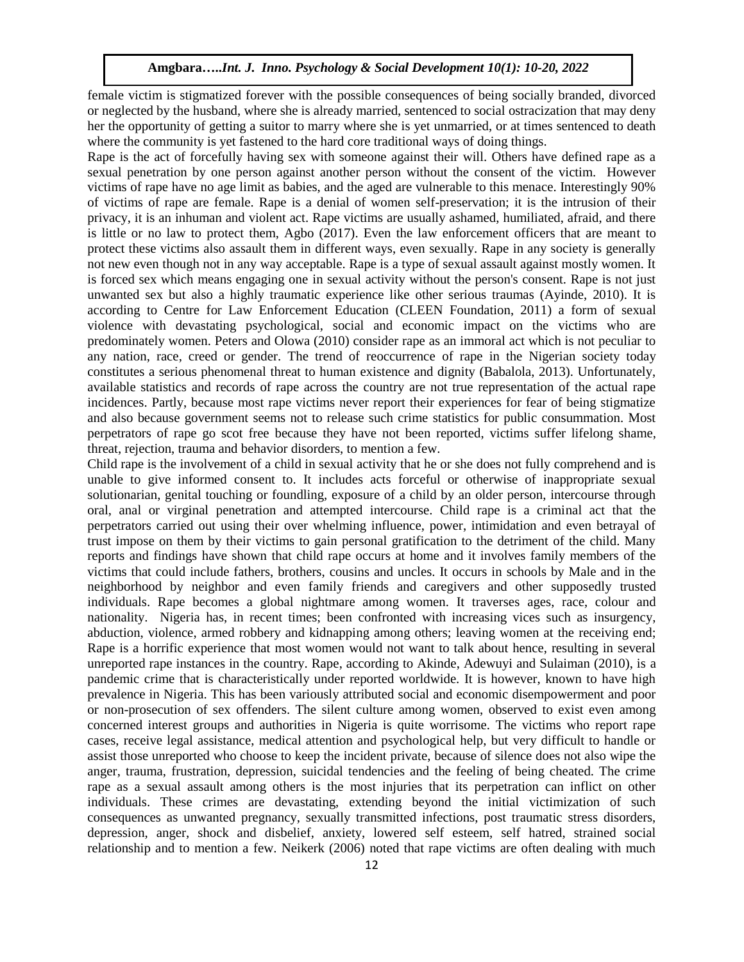female victim is stigmatized forever with the possible consequences of being socially branded, divorced or neglected by the husband, where she is already married, sentenced to social ostracization that may deny her the opportunity of getting a suitor to marry where she is yet unmarried, or at times sentenced to death where the community is yet fastened to the hard core traditional ways of doing things.

Rape is the act of forcefully having sex with someone against their will. Others have defined rape as a sexual penetration by one person against another person without the consent of the victim. However victims of rape have no age limit as babies, and the aged are vulnerable to this menace. Interestingly 90% of victims of rape are female. Rape is a denial of women self-preservation; it is the intrusion of their privacy, it is an inhuman and violent act. Rape victims are usually ashamed, humiliated, afraid, and there is little or no law to protect them, Agbo (2017). Even the law enforcement officers that are meant to protect these victims also assault them in different ways, even sexually. Rape in any society is generally not new even though not in any way acceptable. Rape is a type of sexual assault against mostly women. It is forced sex which means engaging one in sexual activity without the person's consent. Rape is not just unwanted sex but also a highly traumatic experience like other serious traumas (Ayinde, 2010). It is according to Centre for Law Enforcement Education (CLEEN Foundation, 2011) a form of sexual violence with devastating psychological, social and economic impact on the victims who are predominately women. Peters and Olowa (2010) consider rape as an immoral act which is not peculiar to any nation, race, creed or gender. The trend of reoccurrence of rape in the Nigerian society today constitutes a serious phenomenal threat to human existence and dignity (Babalola, 2013). Unfortunately, available statistics and records of rape across the country are not true representation of the actual rape incidences. Partly, because most rape victims never report their experiences for fear of being stigmatize and also because government seems not to release such crime statistics for public consummation. Most perpetrators of rape go scot free because they have not been reported, victims suffer lifelong shame, threat, rejection, trauma and behavior disorders, to mention a few.

Child rape is the involvement of a child in sexual activity that he or she does not fully comprehend and is unable to give informed consent to. It includes acts forceful or otherwise of inappropriate sexual solutionarian, genital touching or foundling, exposure of a child by an older person, intercourse through oral, anal or virginal penetration and attempted intercourse. Child rape is a criminal act that the perpetrators carried out using their over whelming influence, power, intimidation and even betrayal of trust impose on them by their victims to gain personal gratification to the detriment of the child. Many reports and findings have shown that child rape occurs at home and it involves family members of the victims that could include fathers, brothers, cousins and uncles. It occurs in schools by Male and in the neighborhood by neighbor and even family friends and caregivers and other supposedly trusted individuals. Rape becomes a global nightmare among women. It traverses ages, race, colour and nationality. Nigeria has, in recent times; been confronted with increasing vices such as insurgency, abduction, violence, armed robbery and kidnapping among others; leaving women at the receiving end; Rape is a horrific experience that most women would not want to talk about hence, resulting in several unreported rape instances in the country. Rape, according to Akinde, Adewuyi and Sulaiman (2010), is a pandemic crime that is characteristically under reported worldwide. It is however, known to have high prevalence in Nigeria. This has been variously attributed social and economic disempowerment and poor or non-prosecution of sex offenders. The silent culture among women, observed to exist even among concerned interest groups and authorities in Nigeria is quite worrisome. The victims who report rape cases, receive legal assistance, medical attention and psychological help, but very difficult to handle or assist those unreported who choose to keep the incident private, because of silence does not also wipe the anger, trauma, frustration, depression, suicidal tendencies and the feeling of being cheated. The crime rape as a sexual assault among others is the most injuries that its perpetration can inflict on other individuals. These crimes are devastating, extending beyond the initial victimization of such consequences as unwanted pregnancy, sexually transmitted infections, post traumatic stress disorders, depression, anger, shock and disbelief, anxiety, lowered self esteem, self hatred, strained social relationship and to mention a few. Neikerk (2006) noted that rape victims are often dealing with much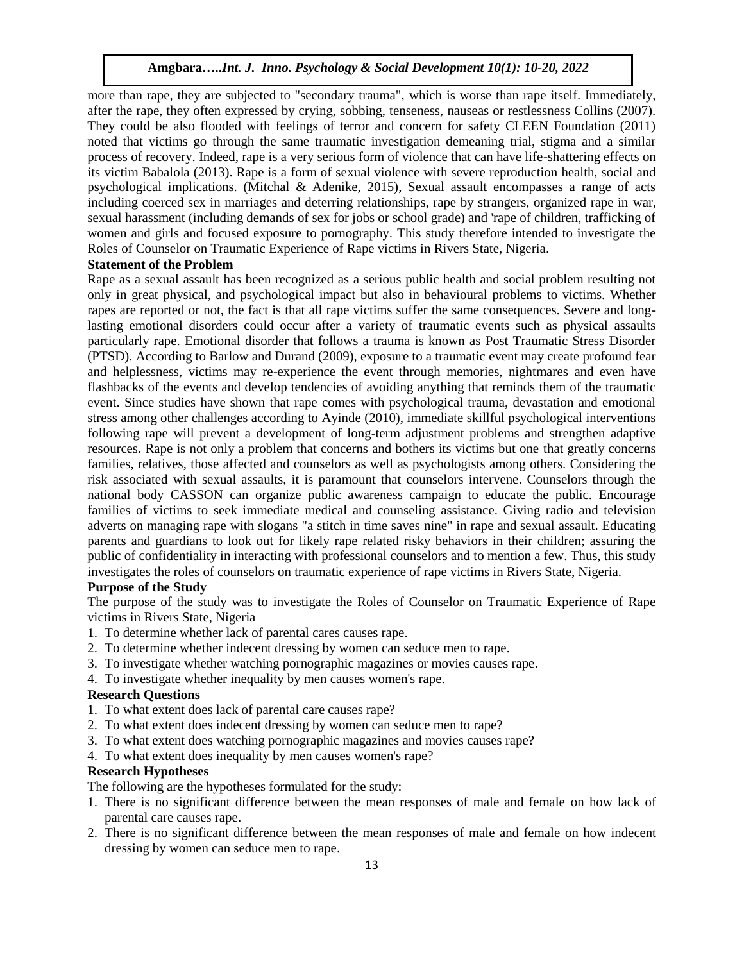more than rape, they are subjected to "secondary trauma", which is worse than rape itself. Immediately, after the rape, they often expressed by crying, sobbing, tenseness, nauseas or restlessness Collins (2007). They could be also flooded with feelings of terror and concern for safety CLEEN Foundation (2011) noted that victims go through the same traumatic investigation demeaning trial, stigma and a similar process of recovery. Indeed, rape is a very serious form of violence that can have life-shattering effects on its victim Babalola (2013). Rape is a form of sexual violence with severe reproduction health, social and psychological implications. (Mitchal & Adenike, 2015), Sexual assault encompasses a range of acts including coerced sex in marriages and deterring relationships, rape by strangers, organized rape in war, sexual harassment (including demands of sex for jobs or school grade) and 'rape of children, trafficking of women and girls and focused exposure to pornography. This study therefore intended to investigate the Roles of Counselor on Traumatic Experience of Rape victims in Rivers State, Nigeria.

## **Statement of the Problem**

Rape as a sexual assault has been recognized as a serious public health and social problem resulting not only in great physical, and psychological impact but also in behavioural problems to victims. Whether rapes are reported or not, the fact is that all rape victims suffer the same consequences. Severe and longlasting emotional disorders could occur after a variety of traumatic events such as physical assaults particularly rape. Emotional disorder that follows a trauma is known as Post Traumatic Stress Disorder (PTSD). According to Barlow and Durand (2009), exposure to a traumatic event may create profound fear and helplessness, victims may re-experience the event through memories, nightmares and even have flashbacks of the events and develop tendencies of avoiding anything that reminds them of the traumatic event. Since studies have shown that rape comes with psychological trauma, devastation and emotional stress among other challenges according to Ayinde (2010), immediate skillful psychological interventions following rape will prevent a development of long-term adjustment problems and strengthen adaptive resources. Rape is not only a problem that concerns and bothers its victims but one that greatly concerns families, relatives, those affected and counselors as well as psychologists among others. Considering the risk associated with sexual assaults, it is paramount that counselors intervene. Counselors through the national body CASSON can organize public awareness campaign to educate the public. Encourage families of victims to seek immediate medical and counseling assistance. Giving radio and television adverts on managing rape with slogans "a stitch in time saves nine" in rape and sexual assault. Educating parents and guardians to look out for likely rape related risky behaviors in their children; assuring the public of confidentiality in interacting with professional counselors and to mention a few. Thus, this study investigates the roles of counselors on traumatic experience of rape victims in Rivers State, Nigeria.

#### **Purpose of the Study**

The purpose of the study was to investigate the Roles of Counselor on Traumatic Experience of Rape victims in Rivers State, Nigeria

- 1. To determine whether lack of parental cares causes rape.
- 2. To determine whether indecent dressing by women can seduce men to rape.
- 3. To investigate whether watching pornographic magazines or movies causes rape.
- 4. To investigate whether inequality by men causes women's rape.

# **Research Questions**

- 1. To what extent does lack of parental care causes rape?
- 2. To what extent does indecent dressing by women can seduce men to rape?
- 3. To what extent does watching pornographic magazines and movies causes rape?
- 4. To what extent does inequality by men causes women's rape?

## **Research Hypotheses**

The following are the hypotheses formulated for the study:

- 1. There is no significant difference between the mean responses of male and female on how lack of parental care causes rape.
- 2. There is no significant difference between the mean responses of male and female on how indecent dressing by women can seduce men to rape.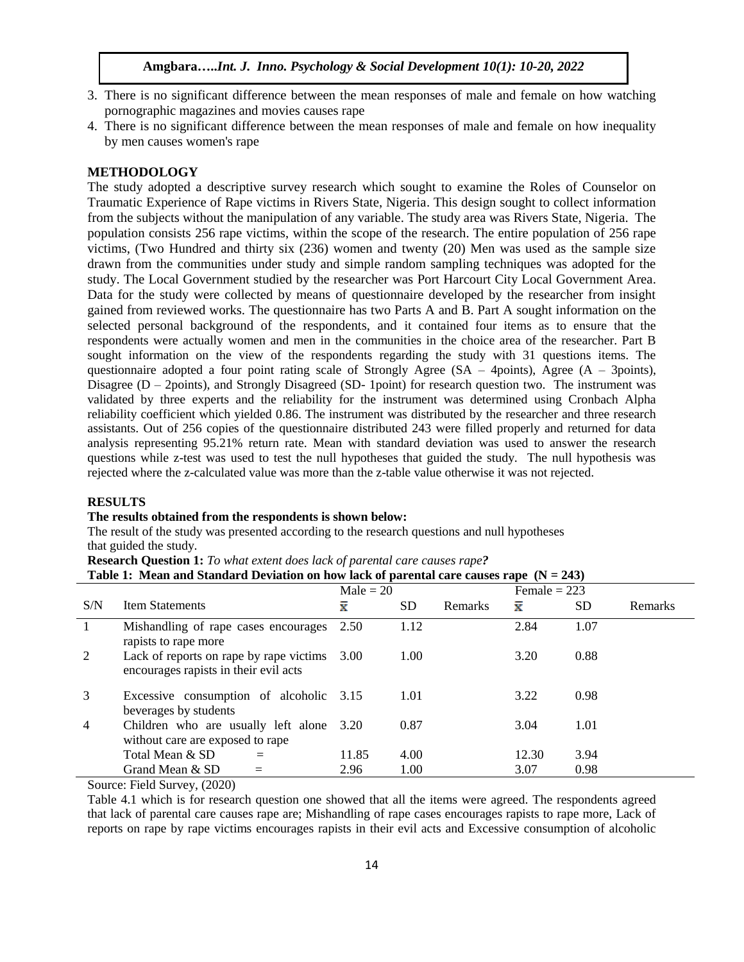- 3. There is no significant difference between the mean responses of male and female on how watching pornographic magazines and movies causes rape
- 4. There is no significant difference between the mean responses of male and female on how inequality by men causes women's rape

## **METHODOLOGY**

The study adopted a descriptive survey research which sought to examine the Roles of Counselor on Traumatic Experience of Rape victims in Rivers State, Nigeria. This design sought to collect information from the subjects without the manipulation of any variable. The study area was Rivers State, Nigeria. The population consists 256 rape victims, within the scope of the research. The entire population of 256 rape victims, (Two Hundred and thirty six (236) women and twenty (20) Men was used as the sample size drawn from the communities under study and simple random sampling techniques was adopted for the study. The Local Government studied by the researcher was Port Harcourt City Local Government Area. Data for the study were collected by means of questionnaire developed by the researcher from insight gained from reviewed works. The questionnaire has two Parts A and B. Part A sought information on the selected personal background of the respondents, and it contained four items as to ensure that the respondents were actually women and men in the communities in the choice area of the researcher. Part B sought information on the view of the respondents regarding the study with 31 questions items. The questionnaire adopted a four point rating scale of Strongly Agree ( $SA - 4$ points), Agree ( $A - 3$ points), Disagree ( $D - 2$  points), and Strongly Disagreed (SD-1 point) for research question two. The instrument was validated by three experts and the reliability for the instrument was determined using Cronbach Alpha reliability coefficient which yielded 0.86. The instrument was distributed by the researcher and three research assistants. Out of 256 copies of the questionnaire distributed 243 were filled properly and returned for data analysis representing 95.21% return rate. Mean with standard deviation was used to answer the research questions while z-test was used to test the null hypotheses that guided the study. The null hypothesis was rejected where the z-calculated value was more than the z-table value otherwise it was not rejected.

## **RESULTS**

#### **The results obtained from the respondents is shown below:**

The result of the study was presented according to the research questions and null hypotheses that guided the study.

**Research Question 1:** *To what extent does lack of parental care causes rape?*

| Table 1: Mean and Standard Deviation on how lack of parental care causes rape $(N = 243)$ |  |  |
|-------------------------------------------------------------------------------------------|--|--|
|-------------------------------------------------------------------------------------------|--|--|

|              |                                                                                       | $Male = 20$ |      |                |       | Female $= 223$ |         |  |
|--------------|---------------------------------------------------------------------------------------|-------------|------|----------------|-------|----------------|---------|--|
| S/N          | <b>Item Statements</b>                                                                | x           | SD.  | <b>Remarks</b> | ≅     | SD.            | Remarks |  |
| $\mathbf{1}$ | Mishandling of rape cases encourages<br>rapists to rape more                          | 2.50        | 1.12 |                | 2.84  | 1.07           |         |  |
| 2            | Lack of reports on rape by rape victims 3.00<br>encourages rapists in their evil acts |             | 1.00 |                | 3.20  | 0.88           |         |  |
| 3            | Excessive consumption of alcoholic 3.15<br>beverages by students                      |             | 1.01 |                | 3.22  | 0.98           |         |  |
| 4            | Children who are usually left alone 3.20<br>without care are exposed to rape          |             | 0.87 |                | 3.04  | 1.01           |         |  |
|              | Total Mean & SD                                                                       | 11.85       | 4.00 |                | 12.30 | 3.94           |         |  |
|              | Grand Mean & SD                                                                       | 2.96        | 1.00 |                | 3.07  | 0.98           |         |  |

Source: Field Survey, (2020)

Table 4.1 which is for research question one showed that all the items were agreed. The respondents agreed that lack of parental care causes rape are; Mishandling of rape cases encourages rapists to rape more, Lack of reports on rape by rape victims encourages rapists in their evil acts and Excessive consumption of alcoholic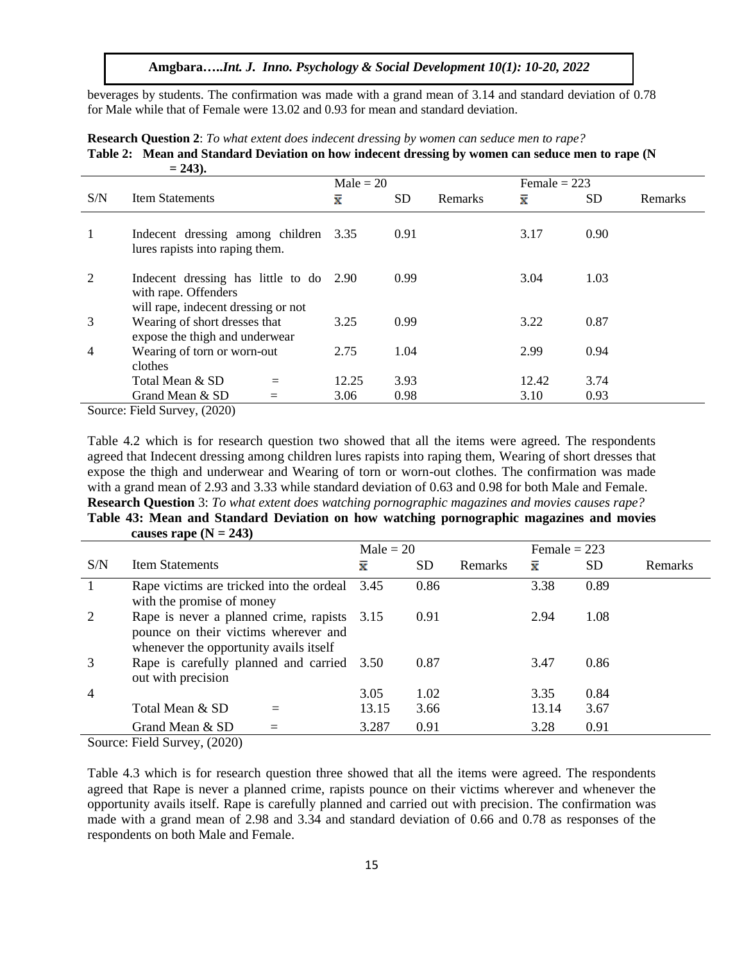beverages by students. The confirmation was made with a grand mean of 3.14 and standard deviation of 0.78 for Male while that of Female were 13.02 and 0.93 for mean and standard deviation.

|                | $-44Jb$                                                                                                |             |           |         |                |      |         |
|----------------|--------------------------------------------------------------------------------------------------------|-------------|-----------|---------|----------------|------|---------|
|                |                                                                                                        | $Male = 20$ |           |         | Female $= 223$ |      |         |
| S/N            | <b>Item Statements</b>                                                                                 | ≅           | <b>SD</b> | Remarks | x              | SD   | Remarks |
| 1              | Indecent dressing among children<br>lures rapists into raping them.                                    | 3.35        | 0.91      |         | 3.17           | 0.90 |         |
| 2              | Indecent dressing has little to do 2.90<br>with rape. Offenders<br>will rape, indecent dressing or not |             | 0.99      |         | 3.04           | 1.03 |         |
| 3              | Wearing of short dresses that<br>expose the thigh and underwear                                        | 3.25        | 0.99      |         | 3.22           | 0.87 |         |
| $\overline{4}$ | Wearing of torn or worn-out<br>clothes                                                                 | 2.75        | 1.04      |         | 2.99           | 0.94 |         |
|                | Total Mean & SD<br>$=$                                                                                 | 12.25       | 3.93      |         | 12.42          | 3.74 |         |
|                | Grand Mean & SD                                                                                        | 3.06        | 0.98      |         | 3.10           | 0.93 |         |

**Research Question 2**: *To what extent does indecent dressing by women can seduce men to rape?*  **Table 2: Mean and Standard Deviation on how indecent dressing by women can seduce men to rape (N = 243).**

Source: Field Survey, (2020)

Table 4.2 which is for research question two showed that all the items were agreed. The respondents agreed that Indecent dressing among children lures rapists into raping them, Wearing of short dresses that expose the thigh and underwear and Wearing of torn or worn-out clothes. The confirmation was made with a grand mean of 2.93 and 3.33 while standard deviation of 0.63 and 0.98 for both Male and Female. **Research Question** 3: *To what extent does watching pornographic magazines and movies causes rape?*

# **Table 43: Mean and Standard Deviation on how watching pornographic magazines and movies**  causes rape  $(N = 243)$

|                |                                                                                                                               | $Male = 20$        |           |         |       | Female $= 223$ |                |  |
|----------------|-------------------------------------------------------------------------------------------------------------------------------|--------------------|-----------|---------|-------|----------------|----------------|--|
| S/N            | <b>Item Statements</b>                                                                                                        | $\bar{\mathbf{x}}$ | <b>SD</b> | Remarks | ≅     | <b>SD</b>      | <b>Remarks</b> |  |
| $\mathbf{1}$   | Rape victims are tricked into the ordeal 3.45<br>with the promise of money                                                    |                    | 0.86      |         | 3.38  | 0.89           |                |  |
| 2              | Rape is never a planned crime, rapists 3.15<br>pounce on their victims wherever and<br>whenever the opportunity avails itself |                    | 0.91      |         | 2.94  | 1.08           |                |  |
| 3              | Rape is carefully planned and carried 3.50<br>out with precision                                                              |                    | 0.87      |         | 3.47  | 0.86           |                |  |
| $\overline{4}$ |                                                                                                                               | 3.05               | 1.02      |         | 3.35  | 0.84           |                |  |
|                | Total Mean & SD                                                                                                               | 13.15              | 3.66      |         | 13.14 | 3.67           |                |  |
|                | Grand Mean & SD                                                                                                               | 3.287              | 0.91      |         | 3.28  | 0.91           |                |  |

Source: Field Survey, (2020)

Table 4.3 which is for research question three showed that all the items were agreed. The respondents agreed that Rape is never a planned crime, rapists pounce on their victims wherever and whenever the opportunity avails itself. Rape is carefully planned and carried out with precision. The confirmation was made with a grand mean of 2.98 and 3.34 and standard deviation of 0.66 and 0.78 as responses of the respondents on both Male and Female.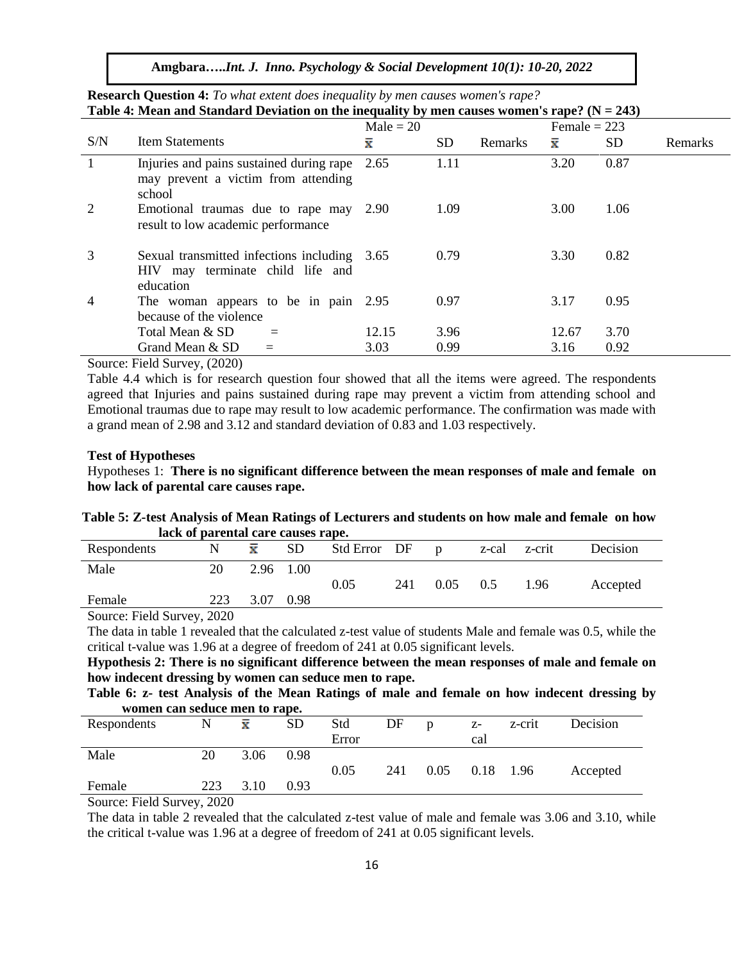**Amgbara…..***Int. J. Inno. Psychology & Social Development 10(1): 10-20, 2022*

| <b>Lavic 4.</b> Initial and Standard Deviation on the inequality by filed causes women stape: $(11 - 243)$ |                                                                                               |             |      |         |                |      |         |  |
|------------------------------------------------------------------------------------------------------------|-----------------------------------------------------------------------------------------------|-------------|------|---------|----------------|------|---------|--|
|                                                                                                            |                                                                                               | Male $= 20$ |      |         | Female $= 223$ |      |         |  |
| S/N                                                                                                        | <b>Item Statements</b>                                                                        | x           | SD.  | Remarks | x              | SD.  | Remarks |  |
| $\mathbf{1}$                                                                                               | Injuries and pains sustained during rape<br>may prevent a victim from attending<br>school     | 2.65        | 1.11 |         | 3.20           | 0.87 |         |  |
| 2                                                                                                          | Emotional traumas due to rape may 2.90<br>result to low academic performance                  |             | 1.09 |         | 3.00           | 1.06 |         |  |
| 3                                                                                                          | Sexual transmitted infections including 3.65<br>HIV may terminate child life and<br>education |             | 0.79 |         | 3.30           | 0.82 |         |  |
| 4                                                                                                          | The woman appears to be in pain 2.95<br>because of the violence                               |             | 0.97 |         | 3.17           | 0.95 |         |  |
|                                                                                                            | Total Mean & SD                                                                               | 12.15       | 3.96 |         | 12.67          | 3.70 |         |  |
|                                                                                                            | Grand Mean & SD                                                                               | 3.03        | 0.99 |         | 3.16           | 0.92 |         |  |

**Research Question 4:** *To what extent does inequality by men causes women's rape?*  Table 4: Mean and Standard Deviation on the inequality by men causes women's  $\text{range}^2 (N - 243)$ 

Source: Field Survey, (2020)

Table 4.4 which is for research question four showed that all the items were agreed. The respondents agreed that Injuries and pains sustained during rape may prevent a victim from attending school and Emotional traumas due to rape may result to low academic performance. The confirmation was made with a grand mean of 2.98 and 3.12 and standard deviation of 0.83 and 1.03 respectively.

#### **Test of Hypotheses**

Hypotheses 1: **There is no significant difference between the mean responses of male and female on how lack of parental care causes rape.**

**Table 5: Z-test Analysis of Mean Ratings of Lecturers and students on how male and female on how lack of parental care causes rape.**

| Respondents             |     | $\bar{\mathbf{x}}$ | <b>SD</b> | Std Error DF |     | $\mathbf{D}$ | z-cal z-crit |      | Decision |
|-------------------------|-----|--------------------|-----------|--------------|-----|--------------|--------------|------|----------|
| Male                    | 20  |                    | 2.96 1.00 |              |     |              |              |      |          |
|                         |     |                    |           | 0.05         | 241 | 0.05         | 0.5          | 1.96 | Accepted |
| Female                  | 223 | 3.07               | 0.98      |              |     |              |              |      |          |
| $C = \Gamma$ 110 $2020$ |     |                    |           |              |     |              |              |      |          |

Source: Field Survey, 2020

The data in table 1 revealed that the calculated z-test value of students Male and female was 0.5, while the critical t-value was 1.96 at a degree of freedom of 241 at 0.05 significant levels.

**Hypothesis 2: There is no significant difference between the mean responses of male and female on how indecent dressing by women can seduce men to rape.**

**Table 6: z- test Analysis of the Mean Ratings of male and female on how indecent dressing by women can seduce men to rape.**

| Respondents | N   | $\bar{\mathbf{x}}$ | <b>SD</b> | Std   | DF  | $\mathbf{D}$ | $Z$ -     | z-crit | Decision |
|-------------|-----|--------------------|-----------|-------|-----|--------------|-----------|--------|----------|
|             |     |                    |           | Error |     |              | cal       |        |          |
| Male        | 20  | 3.06               | 0.98      |       |     |              |           |        |          |
|             |     |                    |           | 0.05  | 241 | 0.05         | 0.18 1.96 |        | Accepted |
| Female      | 223 | 3.10               | 0.93      |       |     |              |           |        |          |

Source: Field Survey, 2020

The data in table 2 revealed that the calculated z-test value of male and female was 3.06 and 3.10, while the critical t-value was 1.96 at a degree of freedom of 241 at 0.05 significant levels.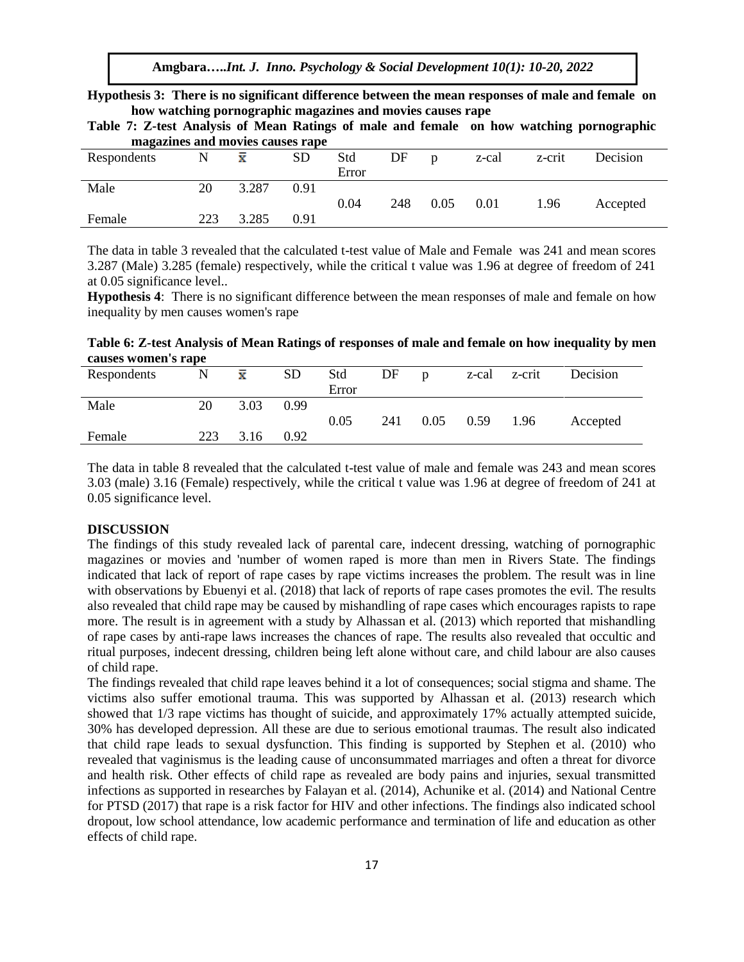**Hypothesis 3: There is no significant difference between the mean responses of male and female on how watching pornographic magazines and movies causes rape**

| magazines and movies causes rape |     |       |           |       |     |              |       |        |          |
|----------------------------------|-----|-------|-----------|-------|-----|--------------|-------|--------|----------|
| Respondents                      | N   | x     | <b>SD</b> | Std   | DF  | $\mathbf{D}$ | z-cal | z-crit | Decision |
|                                  |     |       |           | Error |     |              |       |        |          |
| Male                             | 20  | 3.287 | 0.91      |       |     |              |       |        |          |
|                                  |     |       |           | 0.04  | 248 | 0.05         | 0.01  | 1.96   | Accepted |
| Female                           | 223 | 3.285 | 0.91      |       |     |              |       |        |          |

**Table 7: Z-test Analysis of Mean Ratings of male and female on how watching pornographic** 

The data in table 3 revealed that the calculated t-test value of Male and Female was 241 and mean scores 3.287 (Male) 3.285 (female) respectively, while the critical t value was 1.96 at degree of freedom of 241 at 0.05 significance level..

**Hypothesis 4**: There is no significant difference between the mean responses of male and female on how inequality by men causes women's rape

**Table 6: Z-test Analysis of Mean Ratings of responses of male and female on how inequality by men causes women's rape**

| Respondents | N   | $\bar{\mathbf{x}}$ | <b>SD</b> | Std   | DF  | $\mathbf{D}$ | z-cal | z-crit | Decision |
|-------------|-----|--------------------|-----------|-------|-----|--------------|-------|--------|----------|
|             |     |                    |           | Error |     |              |       |        |          |
| Male        | 20  | 3.03               | 0.99      |       |     |              |       |        |          |
|             |     |                    |           | 0.05  | 241 | 0.05         | 0.59  | 1.96   | Accepted |
| Female      | 223 | 3.16               | 0.92      |       |     |              |       |        |          |

The data in table 8 revealed that the calculated t-test value of male and female was 243 and mean scores 3.03 (male) 3.16 (Female) respectively, while the critical t value was 1.96 at degree of freedom of 241 at 0.05 significance level.

## **DISCUSSION**

The findings of this study revealed lack of parental care, indecent dressing, watching of pornographic magazines or movies and 'number of women raped is more than men in Rivers State. The findings indicated that lack of report of rape cases by rape victims increases the problem. The result was in line with observations by Ebuenyi et al. (2018) that lack of reports of rape cases promotes the evil. The results also revealed that child rape may be caused by mishandling of rape cases which encourages rapists to rape more. The result is in agreement with a study by Alhassan et al. (2013) which reported that mishandling of rape cases by anti-rape laws increases the chances of rape. The results also revealed that occultic and ritual purposes, indecent dressing, children being left alone without care, and child labour are also causes of child rape.

The findings revealed that child rape leaves behind it a lot of consequences; social stigma and shame. The victims also suffer emotional trauma. This was supported by Alhassan et al. (2013) research which showed that 1/3 rape victims has thought of suicide, and approximately 17% actually attempted suicide, 30% has developed depression. All these are due to serious emotional traumas. The result also indicated that child rape leads to sexual dysfunction. This finding is supported by Stephen et al. (2010) who revealed that vaginismus is the leading cause of unconsummated marriages and often a threat for divorce and health risk. Other effects of child rape as revealed are body pains and injuries, sexual transmitted infections as supported in researches by Falayan et al. (2014), Achunike et al. (2014) and National Centre for PTSD (2017) that rape is a risk factor for HIV and other infections. The findings also indicated school dropout, low school attendance, low academic performance and termination of life and education as other effects of child rape.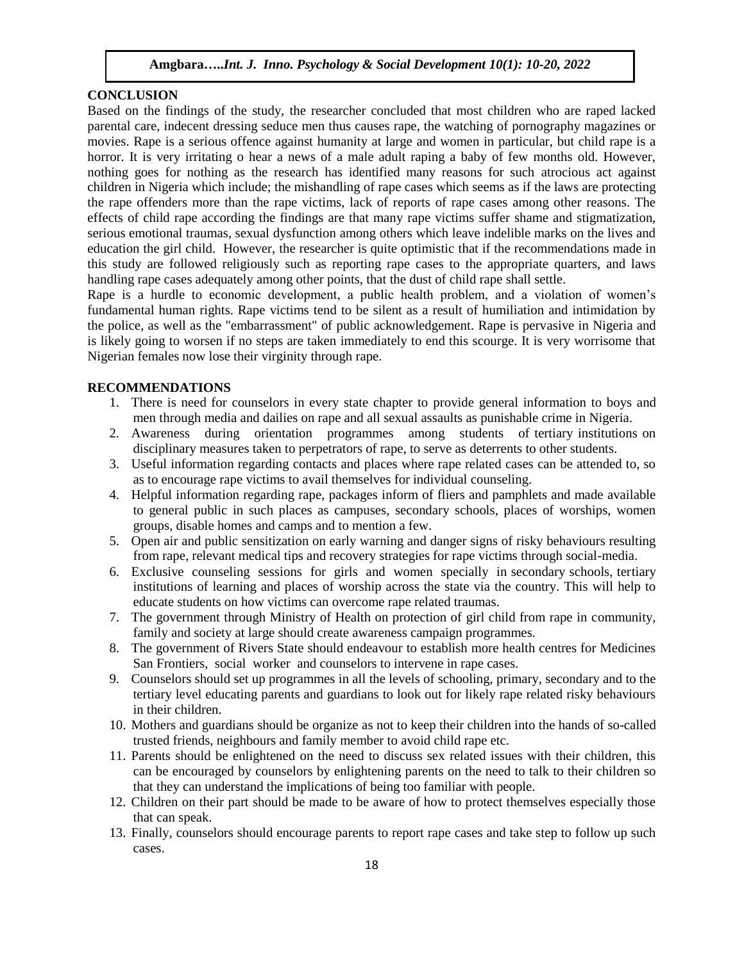#### **CONCLUSION**

Based on the findings of the study, the researcher concluded that most children who are raped lacked parental care, indecent dressing seduce men thus causes rape, the watching of pornography magazines or movies. Rape is a serious offence against humanity at large and women in particular, but child rape is a horror. It is very irritating o hear a news of a male adult raping a baby of few months old. However, nothing goes for nothing as the research has identified many reasons for such atrocious act against children in Nigeria which include; the mishandling of rape cases which seems as if the laws are protecting the rape offenders more than the rape victims, lack of reports of rape cases among other reasons. The effects of child rape according the findings are that many rape victims suffer shame and stigmatization, serious emotional traumas, sexual dysfunction among others which leave indelible marks on the lives and education the girl child. However, the researcher is quite optimistic that if the recommendations made in this study are followed religiously such as reporting rape cases to the appropriate quarters, and laws handling rape cases adequately among other points, that the dust of child rape shall settle.

Rape is a hurdle to economic development, a public health problem, and a violation of women's fundamental human rights. Rape victims tend to be silent as a result of humiliation and intimidation by the police, as well as the "embarrassment" of public acknowledgement. Rape is pervasive in Nigeria and is likely going to worsen if no steps are taken immediately to end this scourge. It is very worrisome that Nigerian females now lose their virginity through rape.

## **RECOMMENDATIONS**

- 1. There is need for counselors in every state chapter to provide general information to boys and men through media and dailies on rape and all sexual assaults as punishable crime in Nigeria.
- 2. Awareness during orientation programmes among students of tertiary institutions on disciplinary measures taken to perpetrators of rape, to serve as deterrents to other students.
- 3. Useful information regarding contacts and places where rape related cases can be attended to, so as to encourage rape victims to avail themselves for individual counseling.
- 4. Helpful information regarding rape, packages inform of fliers and pamphlets and made available to general public in such places as campuses, secondary schools, places of worships, women groups, disable homes and camps and to mention a few.
- 5. Open air and public sensitization on early warning and danger signs of risky behaviours resulting from rape, relevant medical tips and recovery strategies for rape victims through social-media.
- 6. Exclusive counseling sessions for girls and women specially in secondary schools, tertiary institutions of learning and places of worship across the state via the country. This will help to educate students on how victims can overcome rape related traumas.
- 7. The government through Ministry of Health on protection of girl child from rape in community, family and society at large should create awareness campaign programmes.
- 8. The government of Rivers State should endeavour to establish more health centres for Medicines San Frontiers, social worker and counselors to intervene in rape cases.
- 9. Counselors should set up programmes in all the levels of schooling, primary, secondary and to the tertiary level educating parents and guardians to look out for likely rape related risky behaviours in their children.
- 10. Mothers and guardians should be organize as not to keep their children into the hands of so-called trusted friends, neighbours and family member to avoid child rape etc.
- 11. Parents should be enlightened on the need to discuss sex related issues with their children, this can be encouraged by counselors by enlightening parents on the need to talk to their children so that they can understand the implications of being too familiar with people.
- 12. Children on their part should be made to be aware of how to protect themselves especially those that can speak.
- 13. Finally, counselors should encourage parents to report rape cases and take step to follow up such cases.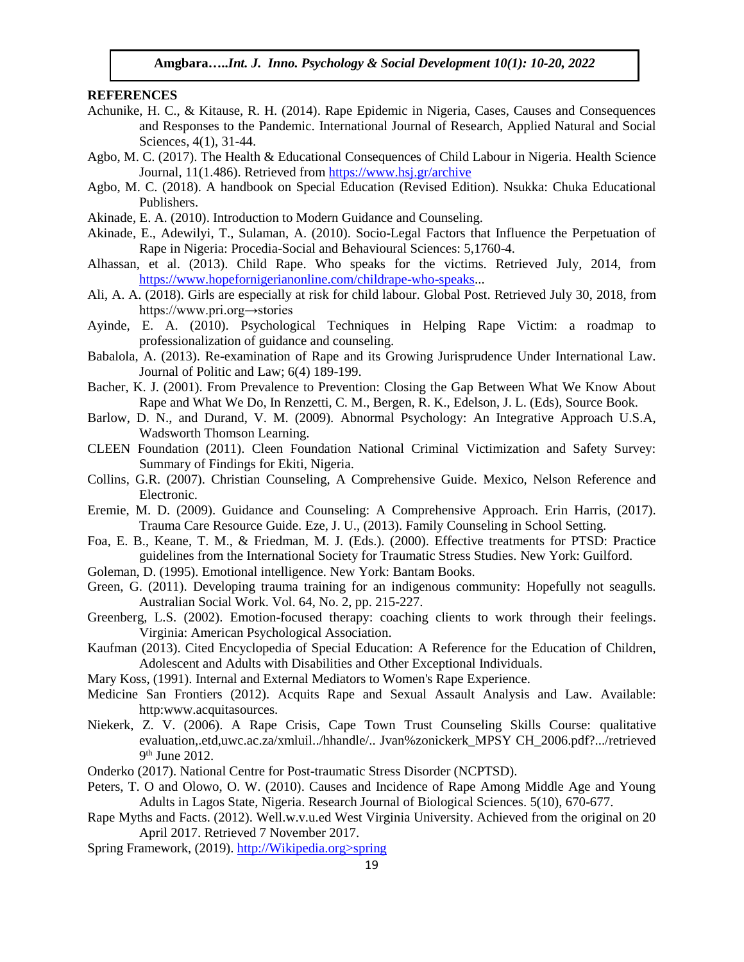#### **REFERENCES**

- Achunike, H. C., & Kitause, R. H. (2014). Rape Epidemic in Nigeria, Cases, Causes and Consequences and Responses to the Pandemic. International Journal of Research, Applied Natural and Social Sciences, 4(1), 31-44.
- Agbo, M. C. (2017). The Health & Educational Consequences of Child Labour in Nigeria. Health Science Journal, 11(1.486). Retrieved from<https://www.hsj.gr/archive>
- Agbo, M. C. (2018). A handbook on Special Education (Revised Edition). Nsukka: Chuka Educational Publishers.
- Akinade, E. A. (2010). Introduction to Modern Guidance and Counseling.
- Akinade, E., Adewilyi, T., Sulaman, A. (2010). Socio-Legal Factors that Influence the Perpetuation of Rape in Nigeria: Procedia-Social and Behavioural Sciences: 5,1760-4.
- Alhassan, et al. (2013). Child Rape. Who speaks for the victims. Retrieved July, 2014, from [https://www.hopefornigerianonline.com/childrape-who-speaks.](https://www.hopefornigerianonline.com/childrape-who-speaks)..
- Ali, A. A. (2018). Girls are especially at risk for child labour. Global Post. Retrieved July 30, 2018, from https://www.pri.org→stories
- Ayinde, E. A. (2010). Psychological Techniques in Helping Rape Victim: a roadmap to professionalization of guidance and counseling.
- Babalola, A. (2013). Re-examination of Rape and its Growing Jurisprudence Under International Law. Journal of Politic and Law; 6(4) 189-199.
- Bacher, K. J. (2001). From Prevalence to Prevention: Closing the Gap Between What We Know About Rape and What We Do, In Renzetti, C. M., Bergen, R. K., Edelson, J. L. (Eds), Source Book.
- Barlow, D. N., and Durand, V. M. (2009). Abnormal Psychology: An Integrative Approach U.S.A, Wadsworth Thomson Learning.
- CLEEN Foundation (2011). Cleen Foundation National Criminal Victimization and Safety Survey: Summary of Findings for Ekiti, Nigeria.
- Collins, G.R. (2007). Christian Counseling, A Comprehensive Guide. Mexico, Nelson Reference and Electronic.
- Eremie, M. D. (2009). Guidance and Counseling: A Comprehensive Approach. Erin Harris, (2017). Trauma Care Resource Guide. Eze, J. U., (2013). Family Counseling in School Setting.
- Foa, E. B., Keane, T. M., & Friedman, M. J. (Eds.). (2000). Effective treatments for PTSD: Practice guidelines from the International Society for Traumatic Stress Studies. New York: Guilford.
- Goleman, D. (1995). Emotional intelligence. New York: Bantam Books.
- Green, G. (2011). Developing trauma training for an indigenous community: Hopefully not seagulls. Australian Social Work. Vol. 64, No. 2, pp. 215-227.
- Greenberg, L.S. (2002). Emotion-focused therapy: coaching clients to work through their feelings. Virginia: American Psychological Association.
- Kaufman (2013). Cited Encyclopedia of Special Education: A Reference for the Education of Children, Adolescent and Adults with Disabilities and Other Exceptional Individuals.
- Mary Koss, (1991). Internal and External Mediators to Women's Rape Experience.
- Medicine San Frontiers (2012). Acquits Rape and Sexual Assault Analysis and Law. Available: http:www.acquitasources.
- Niekerk, Z. V. (2006). A Rape Crisis, Cape Town Trust Counseling Skills Course: qualitative evaluation,.etd,uwc.ac.za/xmluil../hhandle/.. Jvan%zonickerk\_MPSY CH\_2006.pdf?.../retrieved 9<sup>th</sup> June 2012.
- Onderko (2017). National Centre for Post-traumatic Stress Disorder (NCPTSD).
- Peters, T. O and Olowo, O. W. (2010). Causes and Incidence of Rape Among Middle Age and Young Adults in Lagos State, Nigeria. Research Journal of Biological Sciences. 5(10), 670-677.
- Rape Myths and Facts. (2012). Well.w.v.u.ed West Virginia University. Achieved from the original on 20 April 2017. Retrieved 7 November 2017.
- Spring Framework, (2019). http://Wikipedia.org>spring